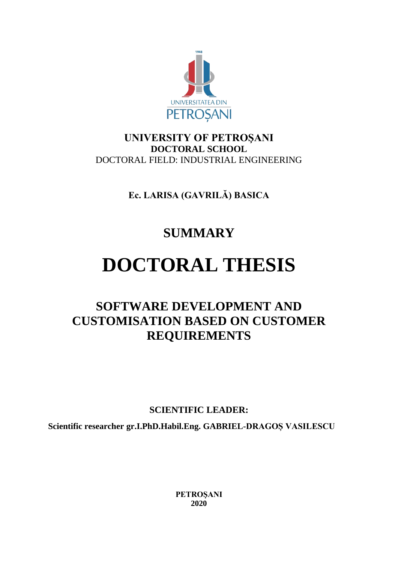

# **UNIVERSITY OF PETROŞANI DOCTORAL SCHOOL** DOCTORAL FIELD: INDUSTRIAL ENGINEERING

**Ec. LARISA (GAVRILĂ) BASICA** 

# **SUMMARY**

# **DOCTORAL THESIS**

# **SOFTWARE DEVELOPMENT AND CUSTOMISATION BASED ON CUSTOMER REQUIREMENTS**

**SCIENTIFIC LEADER:**

**Scientific researcher gr.I.PhD.Habil.Eng. GABRIEL-DRAGOȘ VASILESCU** 

**PETROŞANI 2020**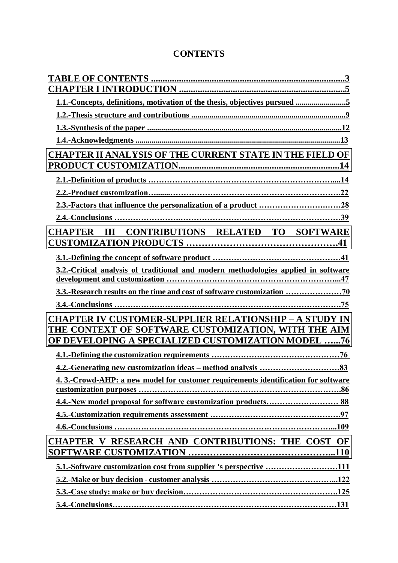# **CONTENTS**

| 1.1.-Concepts, definitions, motivation of the thesis, objectives pursued 5         |
|------------------------------------------------------------------------------------|
|                                                                                    |
|                                                                                    |
|                                                                                    |
| <b>CHAPTER II ANALYSIS OF THE CURRENT STATE IN THE FIELD OF</b>                    |
|                                                                                    |
|                                                                                    |
|                                                                                    |
|                                                                                    |
|                                                                                    |
| <b>CONTRIBUTIONS RELATED TO SOFTWARE</b><br><b>CHAPTER</b><br>$\mathbf{H}$         |
|                                                                                    |
|                                                                                    |
| 3.2.-Critical analysis of traditional and modern methodologies applied in software |
|                                                                                    |
|                                                                                    |
|                                                                                    |
| <b>CHAPTER IV CUSTOMER-SUPPLIER RELATIONSHIP - A STUDY IN</b>                      |
| THE CONTEXT OF SOFTWARE CUSTOMIZATION, WITH THE AIM                                |
| OF DEVELOPING A SPECIALIZED CUSTOMIZATION MODEL 76                                 |
|                                                                                    |
|                                                                                    |
| 4. 3.-Crowd-AHP: a new model for customer requirements identification for software |
|                                                                                    |
|                                                                                    |
|                                                                                    |
|                                                                                    |
| CHAPTER V RESEARCH AND CONTRIBUTIONS: THE COST OF                                  |
|                                                                                    |
| 5.1.-Software customization cost from supplier 's perspective 111                  |
|                                                                                    |
|                                                                                    |
|                                                                                    |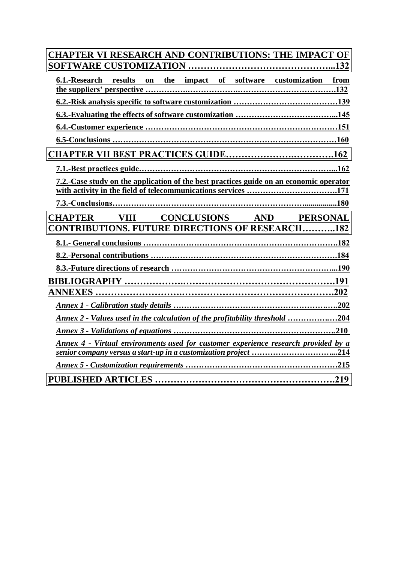| <b>CHAPTER VI RESEARCH AND CONTRIBUTIONS: THE IMPACT OF</b>                            |
|----------------------------------------------------------------------------------------|
|                                                                                        |
| 6.1.-Research results<br>on the impact of software customization from                  |
|                                                                                        |
|                                                                                        |
|                                                                                        |
|                                                                                        |
|                                                                                        |
|                                                                                        |
| 7.2.-Case study on the application of the best practices guide on an economic operator |
| with activity in the field of telecommunications services 171                          |
|                                                                                        |
| <b>CHAPTER VIII CONCLUSIONS AND PERSONAL</b>                                           |
| <b>CONTRIBUTIONS. FUTURE DIRECTIONS OF RESEARCH182</b>                                 |
|                                                                                        |
|                                                                                        |
|                                                                                        |
|                                                                                        |
|                                                                                        |
|                                                                                        |
| Annex 2 - Values used in the calculation of the profitability threshold 204            |
|                                                                                        |
| Annex 4 - Virtual environments used for customer experience research provided by a     |
|                                                                                        |
|                                                                                        |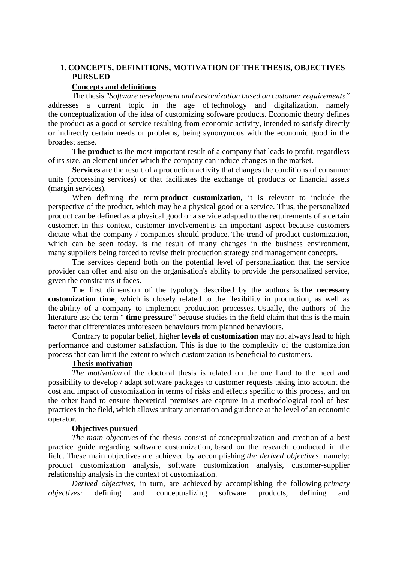# **1. CONCEPTS, DEFINITIONS, MOTIVATION OF THE THESIS, OBJECTIVES PURSUED**

### **Concepts and definitions**

The thesis *"Software development and customization based on customer requirements"*  addresses a current topic in the age of technology and digitalization, namely the conceptualization of the idea of customizing software products. Economic theory defines the product as a good or service resulting from economic activity, intended to satisfy directly or indirectly certain needs or problems, being synonymous with the economic good in the broadest sense.

**The product** is the most important result of a company that leads to profit, regardless of its size, an element under which the company can induce changes in the market.

**Services** are the result of a production activity that changes the conditions of consumer units (processing services) or that facilitates the exchange of products or financial assets (margin services).

When defining the term **product customization,** it is relevant to include the perspective of the product, which may be a physical good or a service. Thus, the personalized product can be defined as a physical good or a service adapted to the requirements of a certain customer. In this context, customer involvement is an important aspect because customers dictate what the company / companies should produce. The trend of product customization, which can be seen today, is the result of many changes in the business environment, many suppliers being forced to revise their production strategy and management concepts.

The services depend both on the potential level of personalization that the service provider can offer and also on the organisation's ability to provide the personalized service, given the constraints it faces.

The first dimension of the typology described by the authors is **the necessary customization time**, which is closely related to the flexibility in production, as well as the ability of a company to implement production processes. Usually, the authors of the literature use the term " **time pressure**" because studies in the field claim that this is the main factor that differentiates unforeseen behaviours from planned behaviours.

Contrary to popular belief, higher **levels of customization** may not always lead to high performance and customer satisfaction. This is due to the complexity of the customization process that can limit the extent to which customization is beneficial to customers.

#### **Thesis motivation**

*The motivation* of the doctoral thesis is related on the one hand to the need and possibility to develop / adapt software packages to customer requests taking into account the cost and impact of customization in terms of risks and effects specific to this process, and on the other hand to ensure theoretical premises are capture in a methodological tool of best practices in the field, which allows unitary orientation and guidance at the level of an economic operator.

#### **Objectives pursued**

*The main objectives* of the thesis consist of conceptualization and creation of a best practice guide regarding software customization, based on the research conducted in the field. These main objectives are achieved by accomplishing *the derived objectives,* namely: product customization analysis, software customization analysis, customer-supplier relationship analysis in the context of customization.

*Derived objectives*, in turn, are achieved by accomplishing the following *primary objectives:* defining and conceptualizing software products, defining and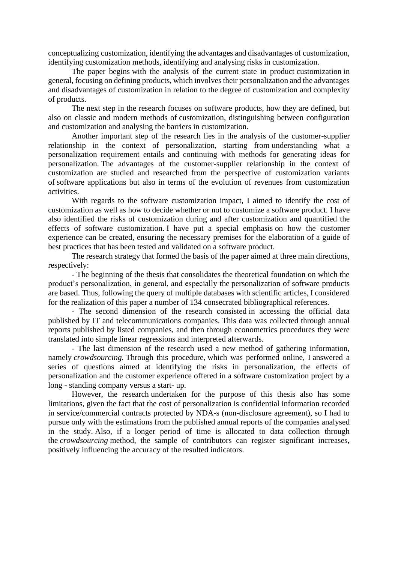conceptualizing customization, identifying the advantages and disadvantages of customization, identifying customization methods, identifying and analysing risks in customization.

The paper begins with the analysis of the current state in product customization in general, focusing on defining products, which involves their personalization and the advantages and disadvantages of customization in relation to the degree of customization and complexity of products.

The next step in the research focuses on software products, how they are defined, but also on classic and modern methods of customization, distinguishing between configuration and customization and analysing the barriers in customization.

Another important step of the research lies in the analysis of the customer-supplier relationship in the context of personalization, starting from understanding what a personalization requirement entails and continuing with methods for generating ideas for personalization. The advantages of the customer-supplier relationship in the context of customization are studied and researched from the perspective of customization variants of software applications but also in terms of the evolution of revenues from customization activities.

With regards to the software customization impact, I aimed to identify the cost of customization as well as how to decide whether or not to customize a software product. I have also identified the risks of customization during and after customization and quantified the effects of software customization. I have put a special emphasis on how the customer experience can be created, ensuring the necessary premises for the elaboration of a guide of best practices that has been tested and validated on a software product.

The research strategy that formed the basis of the paper aimed at three main directions, respectively:

- The beginning of the thesis that consolidates the theoretical foundation on which the product's personalization, in general, and especially the personalization of software products are based. Thus, following the query of multiple databases with scientific articles, I considered for the realization of this paper a number of 134 consecrated bibliographical references.

- The second dimension of the research consisted in accessing the official data published by IT and telecommunications companies. This data was collected through annual reports published by listed companies, and then through econometrics procedures they were translated into simple linear regressions and interpreted afterwards.

- The last dimension of the research used a new method of gathering information, namely *crowdsourcing.* Through this procedure, which was performed online, I answered a series of questions aimed at identifying the risks in personalization, the effects of personalization and the customer experience offered in a software customization project by a long - standing company versus a start- up.

However, the research undertaken for the purpose of this thesis also has some limitations, given the fact that the cost of personalization is confidential information recorded in service/commercial contracts protected by NDA-s (non-disclosure agreement), so I had to pursue only with the estimations from the published annual reports of the companies analysed in the study. Also, if a longer period of time is allocated to data collection through the *crowdsourcing* method, the sample of contributors can register significant increases, positively influencing the accuracy of the resulted indicators.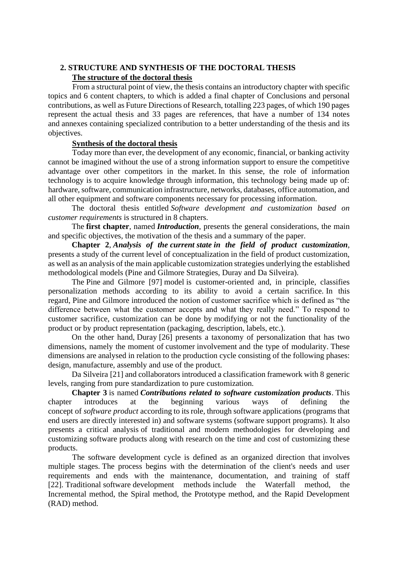# **2. STRUCTURE AND SYNTHESIS OF THE DOCTORAL THESIS The structure of the doctoral thesis**

 From a structural point of view, the thesis contains an introductory chapter with specific topics and 6 content chapters, to which is added a final chapter of Conclusions and personal contributions, as well as Future Directions of Research, totalling 223 pages, of which 190 pages represent the actual thesis and 33 pages are references, that have a number of 134 notes and annexes containing specialized contribution to a better understanding of the thesis and its objectives.

## **Synthesis of the doctoral thesis**

Today more than ever, the development of any economic, financial, or banking activity cannot be imagined without the use of a strong information support to ensure the competitive advantage over other competitors in the market. In this sense, the role of information technology is to acquire knowledge through information, this technology being made up of: hardware, software, communication infrastructure, networks, databases, office automation, and all other equipment and software components necessary for processing information.

The doctoral thesis entitled *Software development and customization based on customer requirements* is structured in 8 chapters.

The **first chapter**, named *Introduction*, presents the general considerations, the main and specific objectives, the motivation of the thesis and a summary of the paper.

**Chapter 2**, *Analysis of the current state in the field of product customization*, presents a study of the current level of conceptualization in the field of product customization, as well as an analysis of the main applicable customization strategies underlying the established methodological models (Pine and Gilmore Strategies, Duray and Da Silveira).

The Pine and Gilmore [97] model is customer-oriented and, in principle, classifies personalization methods according to its ability to avoid a certain sacrifice. In this regard, Pine and Gilmore introduced the notion of customer sacrifice which is defined as "the difference between what the customer accepts and what they really need." To respond to customer sacrifice, customization can be done by modifying or not the functionality of the product or by product representation (packaging, description, labels, etc.).

On the other hand, Duray [26] presents a taxonomy of personalization that has two dimensions, namely the moment of customer involvement and the type of modularity. These dimensions are analysed in relation to the production cycle consisting of the following phases: design, manufacture, assembly and use of the product.

Da Silveira [21] and collaborators introduced a classification framework with 8 generic levels, ranging from pure standardization to pure customization.

**Chapter 3** is named *Contributions related to software customization products*. This chapter introduces at the beginning various ways of defining the concept of *software product* according to its role, through software applications (programs that end users are directly interested in) and software systems (software support programs). It also presents a critical analysis of traditional and modern methodologies for developing and customizing software products along with research on the time and cost of customizing these products.

The software development cycle is defined as an organized direction that involves multiple stages. The process begins with the determination of the client's needs and user requirements and ends with the maintenance, documentation, and training of staff [22]. Traditional software development methods include the Waterfall method, the Incremental method, the Spiral method, the Prototype method, and the Rapid Development (RAD) method.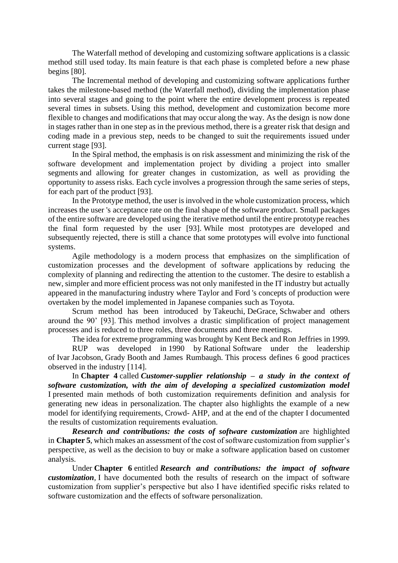The Waterfall method of developing and customizing software applications is a classic method still used today. Its main feature is that each phase is completed before a new phase begins [80].

The Incremental method of developing and customizing software applications further takes the milestone-based method (the Waterfall method), dividing the implementation phase into several stages and going to the point where the entire development process is repeated several times in subsets. Using this method, development and customization become more flexible to changes and modifications that may occur along the way. As the design is now done in stages rather than in one step as in the previous method, there is a greater risk that design and coding made in a previous step, needs to be changed to suit the requirements issued under current stage [93].

In the Spiral method, the emphasis is on risk assessment and minimizing the risk of the software development and implementation project by dividing a project into smaller segments and allowing for greater changes in customization, as well as providing the opportunity to assess risks. Each cycle involves a progression through the same series of steps, for each part of the product [93].

In the Prototype method, the user is involved in the whole customization process, which increases the user 's acceptance rate on the final shape of the software product. Small packages of the entire software are developed using the iterative method until the entire prototype reaches the final form requested by the user [93]. While most prototypes are developed and subsequently rejected, there is still a chance that some prototypes will evolve into functional systems.

Agile methodology is a modern process that emphasizes on the simplification of customization processes and the development of software applications by reducing the complexity of planning and redirecting the attention to the customer. The desire to establish a new, simpler and more efficient process was not only manifested in the IT industry but actually appeared in the manufacturing industry where Taylor and Ford 's concepts of production were overtaken by the model implemented in Japanese companies such as Toyota.

Scrum method has been introduced by Takeuchi, DeGrace, Schwaber and others around the 90' [93]. This method involves a drastic simplification of project management processes and is reduced to three roles, three documents and three meetings.

The idea for extreme programming was brought by Kent Beck and Ron Jeffries in 1999.

RUP was developed in 1990 by Rational Software under the leadership of Ivar Jacobson, Grady Booth and James Rumbaugh. This process defines 6 good practices observed in the industry [114].

In **Chapter 4** called *Customer-supplier relationship – a study in the context of software customization, with the aim of developing a specialized customization model* I presented main methods of both customization requirements definition and analysis for generating new ideas in personalization. The chapter also highlights the example of a new model for identifying requirements, Crowd- AHP, and at the end of the chapter I documented the results of customization requirements evaluation.

*Research and contributions: the costs of software customization* are highlighted in **Chapter 5**, which makes an assessment of the cost of software customization from supplier's perspective, as well as the decision to buy or make a software application based on customer analysis.

Under **Chapter 6** entitled *Research and contributions: the impact of software customization,* I have documented both the results of research on the impact of software customization from supplier's perspective but also I have identified specific risks related to software customization and the effects of software personalization.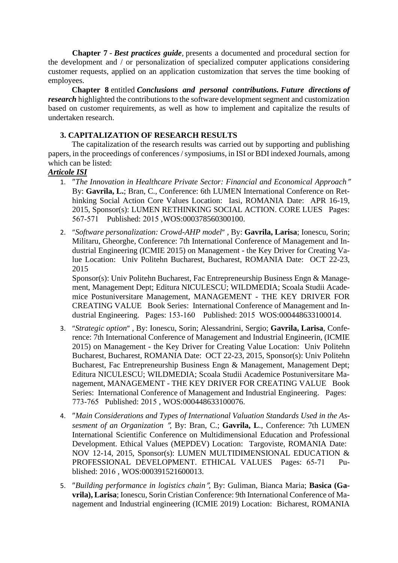**Chapter 7** - *Best practices guide,* presents a documented and procedural section for the development and / or personalization of specialized computer applications considering customer requests, applied on an application customization that serves the time booking of employees.

**Chapter 8** entitled *Conclusions and personal contributions. Future directions of research* highlighted the contributions to the software development segment and customization based on customer requirements, as well as how to implement and capitalize the results of undertaken research.

# **3. CAPITALIZATION OF RESEARCH RESULTS**

The capitalization of the research results was carried out by supporting and publishing papers, in the proceedings of conferences / symposiums, in ISI or BDI indexed Journals, among which can be listed:

# *Articole ISI*

- 1. *[The Innovation in Healthcare Private Sector: Financial and Economical Approach](https://apps-webofknowledge-com.am.e-nformation.ro/full_record.do?product=WOS&search_mode=GeneralSearch&qid=57&SID=F4b2GtUkuyQCC3TwYBZ&page=1&doc=1&cacheurlFromRightClick=no)* By: **[Gavrila, L.](https://apps-webofknowledge-com.am.e-nformation.ro/OutboundService.do?SID=F4b2GtUkuyQCC3TwYBZ&mode=rrcAuthorRecordService&action=go&product=WOS&lang=en_US&daisIds=35861092)**; [Bran, C.,](https://apps-webofknowledge-com.am.e-nformation.ro/OutboundService.do?SID=F4b2GtUkuyQCC3TwYBZ&mode=rrcAuthorRecordService&action=go&product=WOS&lang=en_US&daisIds=9498813) Conference: 6th LUMEN International Conference on Rethinking Social Action Core Values Location: Iasi, ROMANIA Date: APR 16-19, 2015, Sponsor(s): LUMEN RETHINKING SOCIAL ACTION. CORE LUES Pages: 567-571 Published: 2015 ,WOS:000378560300100.
- 2. *"[Software personalization: Crowd-AHP model](https://apps-webofknowledge-com.am.e-nformation.ro/full_record.do?product=WOS&search_mode=GeneralSearch&qid=59&SID=F4b2GtUkuyQCC3TwYBZ&page=1&doc=1)"*, By: [Gavrila, Larisa](https://apps-webofknowledge-com.am.e-nformation.ro/OutboundService.do?SID=F4b2GtUkuyQCC3TwYBZ&mode=rrcAuthorRecordService&action=go&product=WOS&lang=en_US&daisIds=29009756); [Ionescu, Sorin;](https://apps-webofknowledge-com.am.e-nformation.ro/OutboundService.do?SID=F4b2GtUkuyQCC3TwYBZ&mode=rrcAuthorRecordService&action=go&product=WOS&lang=en_US&daisIds=28993337) [Militaru, Gheorghe,](https://apps-webofknowledge-com.am.e-nformation.ro/OutboundService.do?SID=F4b2GtUkuyQCC3TwYBZ&mode=rrcAuthorRecordService&action=go&product=WOS&lang=en_US&daisIds=1154350) Conference: 7th International Conference of Management and Industrial Engineering (ICMIE 2015) on Management - the Key Driver for Creating Value Location: Univ Politehn Bucharest, Bucharest, ROMANIA Date: OCT 22-23, 2015

Sponsor(s): Univ Politehn Bucharest, Fac Entrepreneurship Business Engn & Management, Management Dept; Editura NICULESCU; WILDMEDIA; Scoala Studii Academice Postuniversitare Management, MANAGEMENT - THE KEY DRIVER FOR CREATING VALUE Book Series: International Conference of Management and Industrial Engineering. Pages: 153-160 Published: 2015 WOS:000448633100014.

- 3. *"[Strategic option](https://apps-webofknowledge-com.am.e-nformation.ro/full_record.do?product=WOS&search_mode=GeneralSearch&qid=60&SID=F4b2GtUkuyQCC3TwYBZ&page=2&doc=84)"*, By: [Ionescu, Sorin;](https://apps-webofknowledge-com.am.e-nformation.ro/OutboundService.do?SID=F4b2GtUkuyQCC3TwYBZ&mode=rrcAuthorRecordService&action=go&product=WOS&lang=en_US&daisIds=28993337) [Alessandrini, Sergio;](https://apps-webofknowledge-com.am.e-nformation.ro/OutboundService.do?SID=F4b2GtUkuyQCC3TwYBZ&mode=rrcAuthorRecordService&action=go&product=WOS&lang=en_US&daisIds=1849196) [Gavrila, Larisa](https://apps-webofknowledge-com.am.e-nformation.ro/OutboundService.do?SID=F4b2GtUkuyQCC3TwYBZ&mode=rrcAuthorRecordService&action=go&product=WOS&lang=en_US&daisIds=29009756), Conference: 7th International Conference of Management and Industrial Engineerin, (ICMIE 2015) on Management - the Key Driver for Creating Value Location: Univ Politehn Bucharest, Bucharest, ROMANIA Date: OCT 22-23, 2015, Sponsor(s): Univ Politehn Bucharest, Fac Entrepreneurship Business Engn & Management, Management Dept; Editura NICULESCU; WILDMEDIA; Scoala Studii Academice Postuniversitare Management, MANAGEMENT - THE KEY DRIVER FOR CREATING VALUE Book Series: International Conference of Management and Industrial Engineering. Pages: 773-765 Published: 2015 , WOS:000448633100076.
- 4. *[Main Considerations and Types of International Valuation Standards Used in the As](https://apps-webofknowledge-com.am.e-nformation.ro/full_record.do?product=WOS&search_mode=GeneralSearch&qid=58&SID=F4b2GtUkuyQCC3TwYBZ&page=1&doc=1)[sesment of an Organization](https://apps-webofknowledge-com.am.e-nformation.ro/full_record.do?product=WOS&search_mode=GeneralSearch&qid=58&SID=F4b2GtUkuyQCC3TwYBZ&page=1&doc=1) ", By: [Bran, C.;](https://apps-webofknowledge-com.am.e-nformation.ro/OutboundService.do?SID=F4b2GtUkuyQCC3TwYBZ&mode=rrcAuthorRecordService&action=go&product=WOS&lang=en_US&daisIds=9498813) [Gavrila, L](https://apps-webofknowledge-com.am.e-nformation.ro/OutboundService.do?SID=F4b2GtUkuyQCC3TwYBZ&mode=rrcAuthorRecordService&action=go&product=WOS&lang=en_US&daisIds=35861092)., Conference: 7th LUMEN* International Scientific Conference on Multidimensional Education and Professional Development. Ethical Values (MEPDEV) Location: Targoviste, ROMANIA Date: NOV 12-14, 2015, Sponsor(s): LUMEN MULTIDIMENSIONAL EDUCATION & PROFESSIONAL DEVELOPMENT. ETHICAL VALUES Pages: 65-71 Published: 2016 , WOS:000391521600013.
- 5. *"[Building performance in logistics chain](https://apps-webofknowledge-com.am.e-nformation.ro/full_record.do?product=WOS&search_mode=GeneralSearch&qid=55&SID=F4b2GtUkuyQCC3TwYBZ&page=1&doc=14)"*, By: [Guliman, Bianca Maria;](https://apps-webofknowledge-com.am.e-nformation.ro/OutboundService.do?SID=F4b2GtUkuyQCC3TwYBZ&mode=rrcAuthorRecordService&action=go&product=WOS&lang=en_US&daisIds=35081773) [Basica \(Ga](https://apps-webofknowledge-com.am.e-nformation.ro/OutboundService.do?SID=F4b2GtUkuyQCC3TwYBZ&mode=rrcAuthorRecordService&action=go&product=WOS&lang=en_US&daisIds=35081587)**[vrila\), Larisa](https://apps-webofknowledge-com.am.e-nformation.ro/OutboundService.do?SID=F4b2GtUkuyQCC3TwYBZ&mode=rrcAuthorRecordService&action=go&product=WOS&lang=en_US&daisIds=35081587)**; [Ionescu, Sorin Cristian](https://apps-webofknowledge-com.am.e-nformation.ro/OutboundService.do?SID=F4b2GtUkuyQCC3TwYBZ&mode=rrcAuthorRecordService&action=go&product=WOS&lang=en_US&daisIds=28993337) Conference: 9th International Conference of Management and Industrial engineering (ICMIE 2019) Location: Bicharest, ROMANIA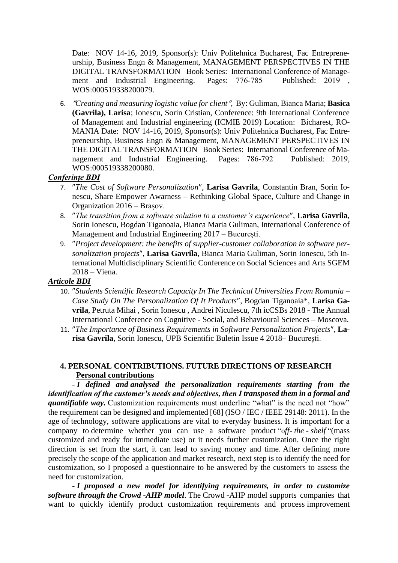Date: NOV 14-16, 2019, Sponsor(s): Univ Politehnica Bucharest, Fac Entrepreneurship, Business Engn & Management, MANAGEMENT PERSPECTIVES IN THE DIGITAL TRANSFORMATION Book Series: International Conference of Management and Industrial Engineering. Pages: 776-785 Published: 2019 , WOS:000519338200079.

6. *[Creating and measuring logistic value for client](https://apps-webofknowledge-com.am.e-nformation.ro/full_record.do?product=WOS&search_mode=GeneralSearch&qid=55&SID=F4b2GtUkuyQCC3TwYBZ&page=1&doc=15),* By[: Guliman, Bianca Maria;](https://apps-webofknowledge-com.am.e-nformation.ro/OutboundService.do?SID=F4b2GtUkuyQCC3TwYBZ&mode=rrcAuthorRecordService&action=go&product=WOS&lang=en_US&daisIds=35081773) **[Basica](https://apps-webofknowledge-com.am.e-nformation.ro/OutboundService.do?SID=F4b2GtUkuyQCC3TwYBZ&mode=rrcAuthorRecordService&action=go&product=WOS&lang=en_US&daisIds=35081587)  [\(Gavrila\), Larisa](https://apps-webofknowledge-com.am.e-nformation.ro/OutboundService.do?SID=F4b2GtUkuyQCC3TwYBZ&mode=rrcAuthorRecordService&action=go&product=WOS&lang=en_US&daisIds=35081587)**; [Ionescu, Sorin Cristian,](https://apps-webofknowledge-com.am.e-nformation.ro/OutboundService.do?SID=F4b2GtUkuyQCC3TwYBZ&mode=rrcAuthorRecordService&action=go&product=WOS&lang=en_US&daisIds=28993337) Conference: 9th International Conference of Management and Industrial engineering (ICMIE 2019) Location: Bicharest, RO-MANIA Date: NOV 14-16, 2019, Sponsor(s): Univ Politehnica Bucharest, Fac Entrepreneurship, Business Engn & Management, MANAGEMENT PERSPECTIVES IN THE DIGITAL TRANSFORMATION Book Series: International Conference of Management and Industrial Engineering. Pages: 786-792 Published: 2019, WOS:000519338200080.

# *Conferințe BDI*

- 7. *The Cost of Software Personalization*, **Larisa Gavrila**, Constantin Bran, Sorin Ionescu, Share Empower Awarness – Rethinking Global Space, Culture and Change in Organization 2016 – Brașov.
- 8. *The transition from a software solution to a customer's experience*, **Larisa Gavrila**, Sorin Ionescu, Bogdan Tiganoaia, Bianca Maria Guliman, International Conference of Management and Industrial Engineering 2017 – București.
- 9. *"Project development: the benefits of supplier-customer collaboration in software personalization projects*, **Larisa Gavrila**, Bianca Maria Guliman, Sorin Ionescu, 5th International Multidisciplinary Scientific Conference on Social Sciences and Arts SGEM 2018 – Viena.

## *Articole BDI*

- 10. "Students Scientific Research Capacity In The Technical Universities From Romania *Case Study On The Personalization Of It Products*, Bogdan Tiganoaia\*, **Larisa Gavrila**, Petruta Mihai , Sorin Ionescu , Andrei Niculescu, 7th icCSBs 2018 - The Annual International Conference on Cognitive - Social, and Behavioural Sciences – Moscova.
- 11. "The Importance of Business Requirements in Software Personalization Projects", La**risa Gavrila**, Sorin Ionescu, UPB Scientific Buletin Issue 4 2018– București.

# **4. PERSONAL CONTRIBUTIONS. FUTURE DIRECTIONS OF RESEARCH Personal contributions**

**-** *I defined and analysed the personalization requirements starting from the identification of the customer's needs and objectives, then I transposed them in a formal and quantifiable way.* Customization requirements must underline "what" is the need not "how" the requirement can be designed and implemented [68] (ISO / IEC / IEEE 29148: 2011). In the age of technology, software applications are vital to everyday business. It is important for a company to determine whether you can use a software product "o*ff- the - shelf* "(mass customized and ready for immediate use) or it needs further customization. Once the right direction is set from the start, it can lead to saving money and time. After defining more precisely the scope of the application and market research, next step is to identify the need for customization, so I proposed a questionnaire to be answered by the customers to assess the need for customization.

**-** *I proposed a new model for identifying requirements, in order to customize software through the Crowd -AHP model*. The Crowd -AHP model supports companies that want to quickly identify product customization requirements and process improvement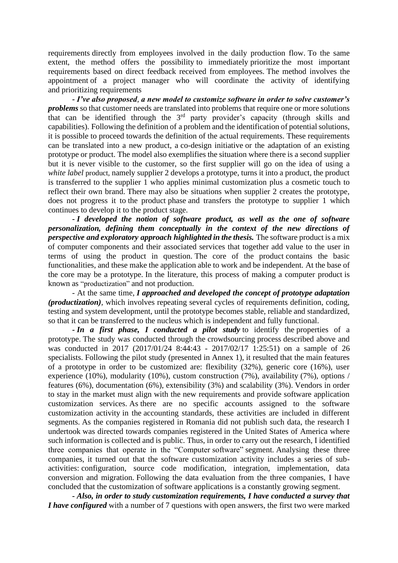requirements directly from employees involved in the daily production flow. To the same extent, the method offers the possibility to immediately prioritize the most important requirements based on direct feedback received from employees. The method involves the appointment of a project manager who will coordinate the activity of identifying and prioritizing requirements

**-** *I've also proposed, a new model to customize software in order to solve customer's problems* so that customer needs are translated into problems that require one or more solutions that can be identified through the  $3<sup>rd</sup>$  party provider's capacity (through skills and capabilities). Following the definition of a problem and the identification of potential solutions, it is possible to proceed towards the definition of the actual requirements. These requirements can be translated into a new product, a co-design initiative or the adaptation of an existing prototype or product. The model also exemplifies the situation where there is a second supplier but it is never visible to the customer, so the first supplier will go on the idea of using a *white label* product, namely supplier 2 develops a prototype, turns it into a product, the product is transferred to the supplier 1 who applies minimal customization plus a cosmetic touch to reflect their own brand. There may also be situations when supplier 2 creates the prototype, does not progress it to the product phase and transfers the prototype to supplier 1 which continues to develop it to the product stage.

**-** *I developed the notion of software product, as well as the one of software personalization, defining them conceptually in the context of the new directions of perspective and exploratory approach highlighted in the thesis.* The software product is a mix of computer components and their associated services that together add value to the user in terms of using the product in question. The core of the product contains the basic functionalities, and these make the application able to work and be independent. At the base of the core may be a prototype. In the literature, this process of making a computer product is known as "productization" and not production.

- At the same time, *I approached and developed the concept of prototype adaptation (productization)*, which involves repeating several cycles of requirements definition, coding, testing and system development, until the prototype becomes stable, reliable and standardized, so that it can be transferred to the nucleus which is independent and fully functional.

**-** *In a first phase, I conducted a pilot study* to identify the properties of a prototype. The study was conducted through the crowdsourcing process described above and was conducted in 2017 (2017/01/24 8:44:43 - 2017/02/17 1:25:51) on a sample of 26 specialists. Following the pilot study (presented in Annex 1), it resulted that the main features of a prototype in order to be customized are: flexibility (32%), generic core (16%), user experience (10%), modularity (10%), custom construction (7%), availability (7%), options / features (6%), documentation (6%), extensibility (3%) and scalability (3%). Vendors in order to stay in the market must align with the new requirements and provide software application customization services. As there are no specific accounts assigned to the software customization activity in the accounting standards, these activities are included in different segments. As the companies registered in Romania did not publish such data, the research I undertook was directed towards companies registered in the United States of America where such information is collected and is public. Thus, in order to carry out the research, I identified three companies that operate in the "Computer software" segment. Analysing these three companies, it turned out that the software customization activity includes a series of subactivities: configuration, source code modification, integration, implementation, data conversion and migration. Following the data evaluation from the three companies, I have concluded that the customization of software applications is a constantly growing segment.

**-** *Also, in order to study customization requirements, I have conducted a survey that I have configured* with a number of 7 questions with open answers, the first two were marked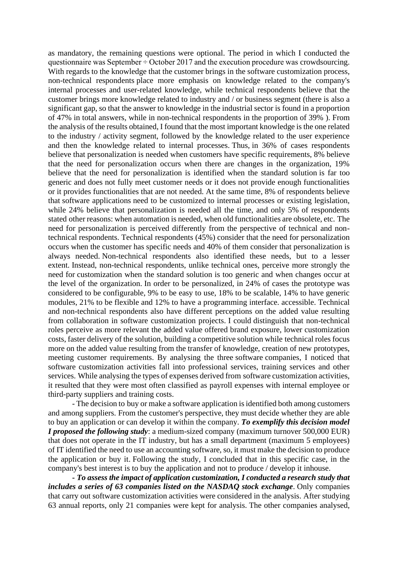as mandatory, the remaining questions were optional. The period in which I conducted the questionnaire was September ÷ October 2017 and the execution procedure was crowdsourcing. With regards to the knowledge that the customer brings in the software customization process, non-technical respondents place more emphasis on knowledge related to the company's internal processes and user-related knowledge, while technical respondents believe that the customer brings more knowledge related to industry and / or business segment (there is also a significant gap, so that the answer to knowledge in the industrial sector is found in a proportion of 47% in total answers, while in non-technical respondents in the proportion of 39% ). From the analysis of the results obtained, I found that the most important knowledge is the one related to the industry / activity segment, followed by the knowledge related to the user experience and then the knowledge related to internal processes. Thus, in 36% of cases respondents believe that personalization is needed when customers have specific requirements, 8% believe that the need for personalization occurs when there are changes in the organization, 19% believe that the need for personalization is identified when the standard solution is far too generic and does not fully meet customer needs or it does not provide enough functionalities or it provides functionalities that are not needed. At the same time, 8% of respondents believe that software applications need to be customized to internal processes or existing legislation, while 24% believe that personalization is needed all the time, and only 5% of respondents stated other reasons: when automation is needed, when old functionalities are obsolete, etc. The need for personalization is perceived differently from the perspective of technical and nontechnical respondents. Technical respondents (45%) consider that the need for personalization occurs when the customer has specific needs and 40% of them consider that personalization is always needed. Non-technical respondents also identified these needs, but to a lesser extent. Instead, non-technical respondents, unlike technical ones, perceive more strongly the need for customization when the standard solution is too generic and when changes occur at the level of the organization. In order to be personalized, in 24% of cases the prototype was considered to be configurable, 9% to be easy to use, 18% to be scalable, 14% to have generic modules, 21% to be flexible and 12% to have a programming interface. accessible. Technical and non-technical respondents also have different perceptions on the added value resulting from collaboration in software customization projects. I could distinguish that non-technical roles perceive as more relevant the added value offered brand exposure, lower customization costs, faster delivery of the solution, building a competitive solution while technical roles focus more on the added value resulting from the transfer of knowledge, creation of new prototypes, meeting customer requirements. By analysing the three software companies, I noticed that software customization activities fall into professional services, training services and other services. While analysing the types of expenses derived from software customization activities, it resulted that they were most often classified as payroll expenses with internal employee or third-party suppliers and training costs.

- The decision to buy or make a software application is identified both among customers and among suppliers. From the customer's perspective, they must decide whether they are able to buy an application or can develop it within the company. *To exemplify this decision model <i>I* proposed the following study: a medium-sized company (maximum turnover 500,000 EUR) that does not operate in the IT industry, but has a small department (maximum 5 employees) of IT identified the need to use an accounting software, so, it must make the decision to produce the application or buy it. Following the study, I concluded that in this specific case, in the company's best interest is to buy the application and not to produce / develop it inhouse.

**-** *To assess the impact of application customization, I conducted a research study that includes a series of 63 companies listed on the NASDAQ stock exchange*. Only companies that carry out software customization activities were considered in the analysis. After studying 63 annual reports, only 21 companies were kept for analysis. The other companies analysed,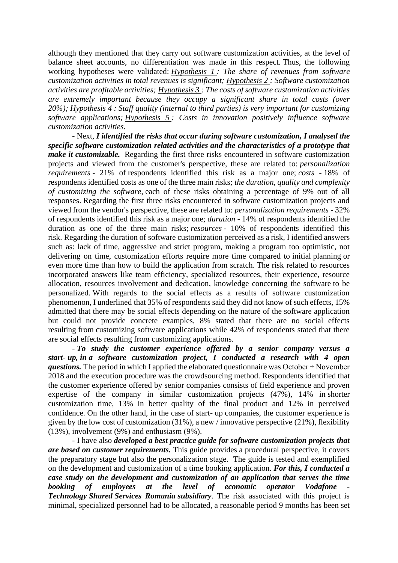although they mentioned that they carry out software customization activities, at the level of balance sheet accounts, no differentiation was made in this respect. Thus, the following working hypotheses were validated: *Hypothesis 1 : The share of revenues from software customization activities in total revenues is significant; Hypothesis 2 : Software customization activities are profitable activities; Hypothesis 3 : The costs of software customization activities are extremely important because they occupy a significant share in total costs (over 20%); Hypothesis 4 : Staff quality (internal to third parties) is very important for customizing software applications; Hypothesis 5 : Costs in innovation positively influence software customization activities.*

- Next, *I identified the risks that occur during software customization, I analysed the specific software customization related activities and the characteristics of a prototype that make it customizable.* Regarding the first three risks encountered in software customization projects and viewed from the customer's perspective, these are related to: *personalization requirements* - 21% of respondents identified this risk as a major one; *costs -* 18% of respondents identified costs as one of the three main risks; *the duration, quality and complexity of customizing the software*, each of these risks obtaining a percentage of 9% out of all responses. Regarding the first three risks encountered in software customization projects and viewed from the vendor's perspective, these are related to: *personalization requirements* - 32% of respondents identified this risk as a major one; *duration* - 14% of respondents identified the duration as one of the three main risks; *resources* - 10% of respondents identified this risk. Regarding the duration of software customization perceived as a risk, I identified answers such as: lack of time, aggressive and strict program, making a program too optimistic, not delivering on time, customization efforts require more time compared to initial planning or even more time than how to build the application from scratch. The risk related to resources incorporated answers like team efficiency, specialized resources, their experience, resource allocation, resources involvement and dedication, knowledge concerning the software to be personalized. With regards to the social effects as a results of software customization phenomenon, I underlined that 35% of respondents said they did not know of such effects, 15% admitted that there may be social effects depending on the nature of the software application but could not provide concrete examples, 8% stated that there are no social effects resulting from customizing software applications while 42% of respondents stated that there are social effects resulting from customizing applications.

**-** *To study the customer experience offered by a senior company versus a start- up, in a software customization project, I conducted a research with 4 open questions.* The period in which I applied the elaborated questionnaire was October  $\div$  November 2018 and the execution procedure was the crowdsourcing method. Respondents identified that the customer experience offered by senior companies consists of field experience and proven expertise of the company in similar customization projects (47%), 14% in shorter customization time, 13% in better quality of the final product and 12% in perceived confidence. On the other hand, in the case of start- up companies, the customer experience is given by the low cost of customization (31%), a new / innovative perspective (21%), flexibility (13%), involvement (9%) and enthusiasm (9%).

- I have also *developed a best practice guide for software customization projects that are based on customer requirements.* This guide provides a procedural perspective, it covers the preparatory stage but also the personalization stage. The guide is tested and exemplified on the development and customization of a time booking application. *For this, I conducted a case study on the development and customization of an application that serves the time booking of employees at the level of economic operator Vodafone Technology Shared Services Romania subsidiary*. The risk associated with this project is minimal, specialized personnel had to be allocated, a reasonable period 9 months has been set